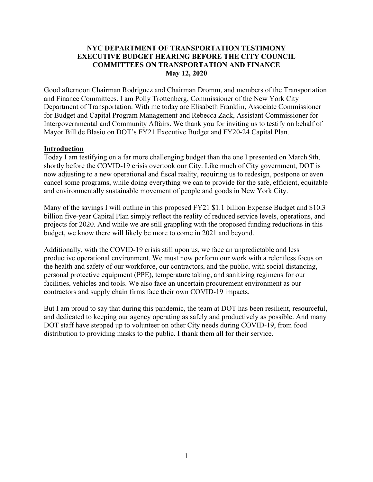#### **NYC DEPARTMENT OF TRANSPORTATION TESTIMONY EXECUTIVE BUDGET HEARING BEFORE THE CITY COUNCIL COMMITTEES ON TRANSPORTATION AND FINANCE May 12, 2020**

Good afternoon Chairman Rodriguez and Chairman Dromm, and members of the Transportation and Finance Committees. I am Polly Trottenberg, Commissioner of the New York City Department of Transportation. With me today are Elisabeth Franklin, Associate Commissioner for Budget and Capital Program Management and Rebecca Zack, Assistant Commissioner for Intergovernmental and Community Affairs. We thank you for inviting us to testify on behalf of Mayor Bill de Blasio on DOT's FY21 Executive Budget and FY20-24 Capital Plan.

#### **Introduction**

Today I am testifying on a far more challenging budget than the one I presented on March 9th, shortly before the COVID-19 crisis overtook our City. Like much of City government, DOT is now adjusting to a new operational and fiscal reality, requiring us to redesign, postpone or even cancel some programs, while doing everything we can to provide for the safe, efficient, equitable and environmentally sustainable movement of people and goods in New York City.

Many of the savings I will outline in this proposed FY21 \$1.1 billion Expense Budget and \$10.3 billion five-year Capital Plan simply reflect the reality of reduced service levels, operations, and projects for 2020. And while we are still grappling with the proposed funding reductions in this budget, we know there will likely be more to come in 2021 and beyond.

Additionally, with the COVID-19 crisis still upon us, we face an unpredictable and less productive operational environment. We must now perform our work with a relentless focus on the health and safety of our workforce, our contractors, and the public, with social distancing, personal protective equipment (PPE), temperature taking, and sanitizing regimens for our facilities, vehicles and tools. We also face an uncertain procurement environment as our contractors and supply chain firms face their own COVID-19 impacts.

But I am proud to say that during this pandemic, the team at DOT has been resilient, resourceful, and dedicated to keeping our agency operating as safely and productively as possible. And many DOT staff have stepped up to volunteer on other City needs during COVID-19, from food distribution to providing masks to the public. I thank them all for their service.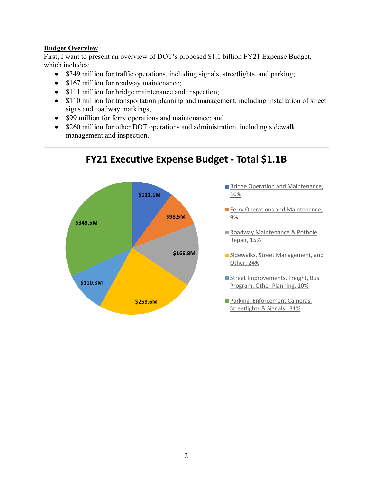## **Budget Overview**

First, I want to present an overview of DOT's proposed \$1.1 billion FY21 Expense Budget, which includes:

- \$349 million for traffic operations, including signals, streetlights, and parking;
- \$167 million for roadway maintenance;
- \$111 million for bridge maintenance and inspection;
- \$110 million for transportation planning and management, including installation of street signs and roadway markings;
- \$99 million for ferry operations and maintenance; and
- \$260 million for other DOT operations and administration, including sidewalk management and inspection.

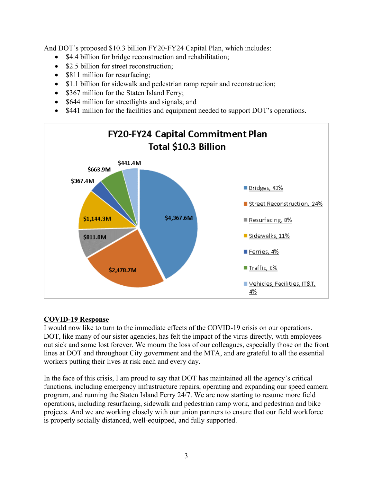And DOT's proposed \$10.3 billion FY20-FY24 Capital Plan, which includes:

- \$4.4 billion for bridge reconstruction and rehabilitation;
- \$2.5 billion for street reconstruction:
- \$811 million for resurfacing;
- \$1.1 billion for sidewalk and pedestrian ramp repair and reconstruction;
- \$367 million for the Staten Island Ferry;
- \$644 million for streetlights and signals; and
- \$441 million for the facilities and equipment needed to support DOT's operations.



# **COVID-19 Response**

I would now like to turn to the immediate effects of the COVID-19 crisis on our operations. DOT, like many of our sister agencies, has felt the impact of the virus directly, with employees out sick and some lost forever. We mourn the loss of our colleagues, especially those on the front lines at DOT and throughout City government and the MTA, and are grateful to all the essential workers putting their lives at risk each and every day.

In the face of this crisis, I am proud to say that DOT has maintained all the agency's critical functions, including emergency infrastructure repairs, operating and expanding our speed camera program, and running the Staten Island Ferry 24/7. We are now starting to resume more field operations, including resurfacing, sidewalk and pedestrian ramp work, and pedestrian and bike projects. And we are working closely with our union partners to ensure that our field workforce is properly socially distanced, well-equipped, and fully supported.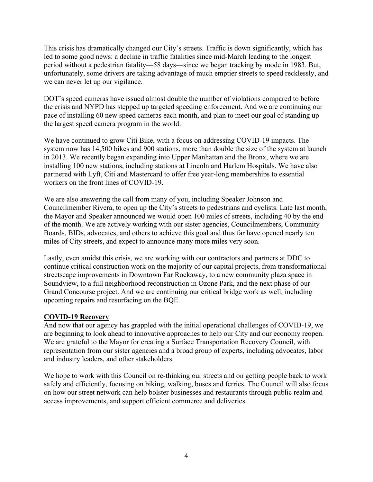This crisis has dramatically changed our City's streets. Traffic is down significantly, which has led to some good news: a decline in traffic fatalities since mid-March leading to the longest period without a pedestrian fatality—58 days—since we began tracking by mode in 1983. But, unfortunately, some drivers are taking advantage of much emptier streets to speed recklessly, and we can never let up our vigilance.

DOT's speed cameras have issued almost double the number of violations compared to before the crisis and NYPD has stepped up targeted speeding enforcement. And we are continuing our pace of installing 60 new speed cameras each month, and plan to meet our goal of standing up the largest speed camera program in the world.

We have continued to grow Citi Bike, with a focus on addressing COVID-19 impacts. The system now has 14,500 bikes and 900 stations, more than double the size of the system at launch in 2013. We recently began expanding into Upper Manhattan and the Bronx, where we are installing 100 new stations, including stations at Lincoln and Harlem Hospitals. We have also partnered with Lyft, Citi and Mastercard to offer free year-long memberships to essential workers on the front lines of COVID-19.

We are also answering the call from many of you, including Speaker Johnson and Councilmember Rivera, to open up the City's streets to pedestrians and cyclists. Late last month, the Mayor and Speaker announced we would open 100 miles of streets, including 40 by the end of the month. We are actively working with our sister agencies, Councilmembers, Community Boards, BIDs, advocates, and others to achieve this goal and thus far have opened nearly ten miles of City streets, and expect to announce many more miles very soon.

Lastly, even amidst this crisis, we are working with our contractors and partners at DDC to continue critical construction work on the majority of our capital projects, from transformational streetscape improvements in Downtown Far Rockaway, to a new community plaza space in Soundview, to a full neighborhood reconstruction in Ozone Park, and the next phase of our Grand Concourse project. And we are continuing our critical bridge work as well, including upcoming repairs and resurfacing on the BQE.

### **COVID-19 Recovery**

And now that our agency has grappled with the initial operational challenges of COVID-19, we are beginning to look ahead to innovative approaches to help our City and our economy reopen. We are grateful to the Mayor for creating a Surface Transportation Recovery Council, with representation from our sister agencies and a broad group of experts, including advocates, labor and industry leaders, and other stakeholders.

We hope to work with this Council on re-thinking our streets and on getting people back to work safely and efficiently, focusing on biking, walking, buses and ferries. The Council will also focus on how our street network can help bolster businesses and restaurants through public realm and access improvements, and support efficient commerce and deliveries.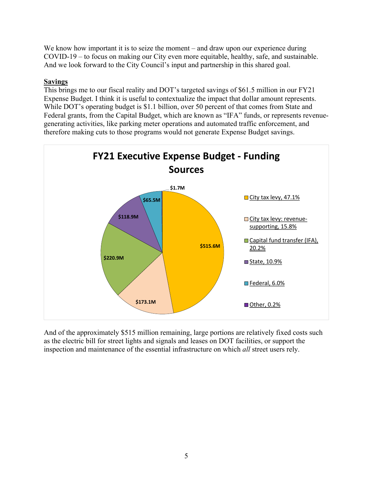We know how important it is to seize the moment – and draw upon our experience during COVID-19 – to focus on making our City even more equitable, healthy, safe, and sustainable. And we look forward to the City Council's input and partnership in this shared goal.

### **Savings**

This brings me to our fiscal reality and DOT's targeted savings of \$61.5 million in our FY21 Expense Budget. I think it is useful to contextualize the impact that dollar amount represents. While DOT's operating budget is \$1.1 billion, over 50 percent of that comes from State and Federal grants, from the Capital Budget, which are known as "IFA" funds, or represents revenuegenerating activities, like parking meter operations and automated traffic enforcement, and therefore making cuts to those programs would not generate Expense Budget savings.



And of the approximately \$515 million remaining, large portions are relatively fixed costs such as the electric bill for street lights and signals and leases on DOT facilities, or support the inspection and maintenance of the essential infrastructure on which *all* street users rely.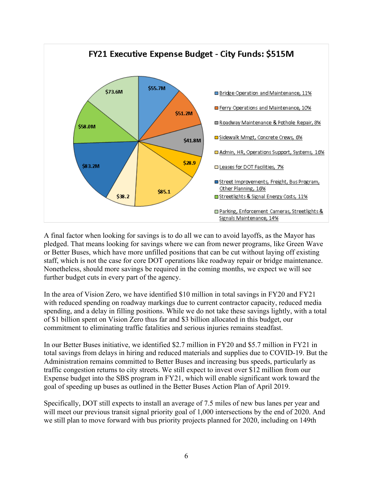

A final factor when looking for savings is to do all we can to avoid layoffs, as the Mayor has pledged. That means looking for savings where we can from newer programs, like Green Wave or Better Buses, which have more unfilled positions that can be cut without laying off existing staff, which is not the case for core DOT operations like roadway repair or bridge maintenance. Nonetheless, should more savings be required in the coming months, we expect we will see further budget cuts in every part of the agency.

In the area of Vision Zero, we have identified \$10 million in total savings in FY20 and FY21 with reduced spending on roadway markings due to current contractor capacity, reduced media spending, and a delay in filling positions. While we do not take these savings lightly, with a total of \$1 billion spent on Vision Zero thus far and \$3 billion allocated in this budget, our commitment to eliminating traffic fatalities and serious injuries remains steadfast.

In our Better Buses initiative, we identified \$2.7 million in FY20 and \$5.7 million in FY21 in total savings from delays in hiring and reduced materials and supplies due to COVID-19. But the Administration remains committed to Better Buses and increasing bus speeds, particularly as traffic congestion returns to city streets. We still expect to invest over \$12 million from our Expense budget into the SBS program in FY21, which will enable significant work toward the goal of speeding up buses as outlined in the Better Buses Action Plan of April 2019.

Specifically, DOT still expects to install an average of 7.5 miles of new bus lanes per year and will meet our previous transit signal priority goal of 1,000 intersections by the end of 2020. And we still plan to move forward with bus priority projects planned for 2020, including on 149th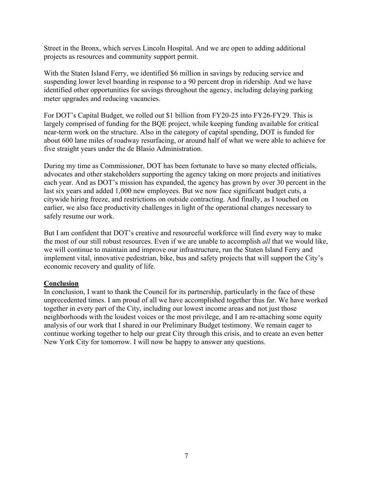Street in the Bronx, which serves Lincoln Hospital. And we are open to adding additional projects as resources and community support permit.

With the Staten Island Ferry, we identified \$6 million in savings by reducing service and suspending lower level boarding in response to a 90 percent drop in ridership. And we have identified other opportunities for savings throughout the agency, including delaying parking meter upgrades and reducing vacancies.

For DOT's Capital Budget, we rolled out \$1 billion from FY20-25 into FY26-FY29. This is largely comprised of funding for the BQE project, while keeping funding available for critical near-term work on the structure. Also in the category of capital spending, DOT is funded for about 600 lane miles of roadway resurfacing, or around half of what we were able to achieve for five straight years under the de Blasio Administration.

During my time as Commissioner, DOT has been fortunate to have so many elected officials, advocates and other stakeholders supporting the agency taking on more projects and initiatives each year. And as DOT's mission has expanded, the agency has grown by over 30 percent in the last six years and added 1,000 new employees. But we now face significant budget cuts, a citywide hiring freeze, and restrictions on outside contracting. And finally, as I touched on earlier, we also face productivity challenges in light of the operational changes necessary to safely resume our work.

But I am confident that DOT's creative and resourceful workforce will find every way to make the most of our still robust resources. Even if we are unable to accomplish *all* that we would like, we will continue to maintain and improve our infrastructure, run the Staten Island Ferry and implement vital, innovative pedestrian, bike, bus and safety projects that will support the City's economic recovery and quality of life.

#### **Conclusion**

In conclusion, I want to thank the Council for its partnership, particularly in the face of these unprecedented times. I am proud of all we have accomplished together thus far. We have worked together in every part of the City, including our lowest income areas and not just those neighborhoods with the loudest voices or the most privilege, and I am re-attaching some equity analysis of our work that I shared in our Preliminary Budget testimony. We remain eager to continue working together to help our great City through this crisis, and to create an even better New York City for tomorrow. I will now be happy to answer any questions.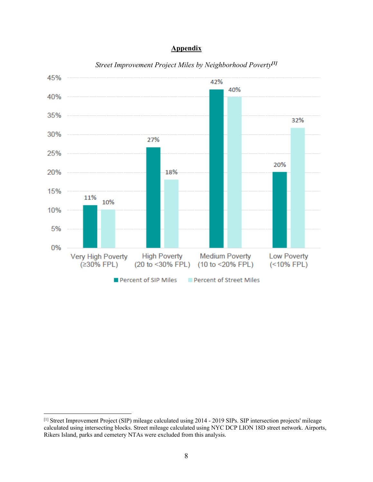### **Appendix**



#### *Street Improvement Project Miles by Neighborhood Poverty[1]*

<sup>[1]</sup> Street Improvement Project (SIP) mileage calculated using 2014 - 2019 SIPs. SIP intersection projects' mileage calculated using intersecting blocks. Street mileage calculated using NYC DCP LION 18D street network. Airports, Rikers Island, parks and cemetery NTAs were excluded from this analysis.